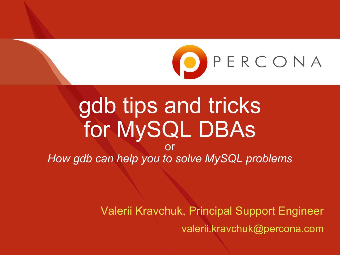

# gdb tips and tricks for MySQL DBAs

or *How gdb can help you to solve MySQL problems*

> Valerii Kravchuk, Principal Support Engineer valerii.kravchuk@percona.com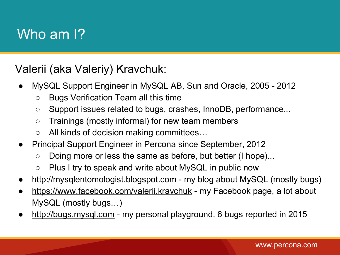### Who am 1?

Valerii (aka Valeriy) Kravchuk:

- MySQL Support Engineer in MySQL AB, Sun and Oracle, 2005 2012
	- Bugs Verification Team all this time
	- Support issues related to bugs, crashes, InnoDB, performance...
	- Trainings (mostly informal) for new team members
	- All kinds of decision making committees…
- Principal Support Engineer in Percona since September, 2012
	- Doing more or less the same as before, but better (I hope)...
	- Plus I try to speak and write about MySQL in public now
- <http://mysqlentomologist.blogspot.com> my blog about MySQL (mostly bugs)
- <https://www.facebook.com/valerii.kravchuk> my Facebook page, a lot about MySQL (mostly bugs…)
- <http://bugs.mysql.com> my personal playground. 6 bugs reported in 2015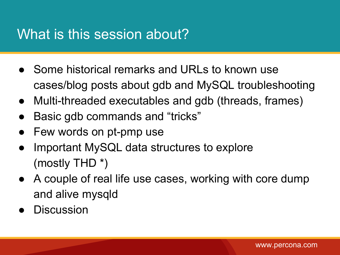### What is this session about?

- Some historical remarks and URLs to known use cases/blog posts about gdb and MySQL troubleshooting
- Multi-threaded executables and gdb (threads, frames)
- Basic gdb commands and "tricks"
- Few words on pt-pmp use
- Important MySQL data structures to explore (mostly THD \*)
- A couple of real life use cases, working with core dump and alive mysqld
- **Discussion**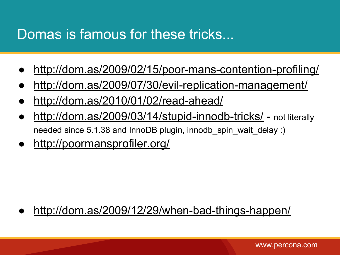### Domas is famous for these tricks...

- <http://dom.as/2009/02/15/poor-mans-contention-profiling/>
- <http://dom.as/2009/07/30/evil-replication-management/>
- <http://dom.as/2010/01/02/read-ahead/>
- <http://dom.as/2009/03/14/stupid-innodb-tricks/> not literally needed since 5.1.38 and InnoDB plugin, innodb\_spin\_wait\_delay :)
- <http://poormansprofiler.org/>

#### <http://dom.as/2009/12/29/when-bad-things-happen/>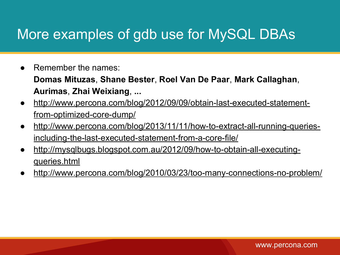### More examples of gdb use for MySQL DBAs

Remember the names:

**Domas Mituzas**, **Shane Bester**, **Roel Van De Paar**, **Mark Callaghan**, **Aurimas**, **Zhai Weixiang**, **...**

- [http://www.percona.com/blog/2012/09/09/obtain-last-executed-statement](http://www.percona.com/blog/2012/09/09/obtain-last-executed-statement-from-optimized-core-dump/)[from-optimized-core-dump/](http://www.percona.com/blog/2012/09/09/obtain-last-executed-statement-from-optimized-core-dump/)
- [http://www.percona.com/blog/2013/11/11/how-to-extract-all-running-queries](http://www.percona.com/blog/2013/11/11/how-to-extract-all-running-queries-including-the-last-executed-statement-from-a-core-file/)[including-the-last-executed-statement-from-a-core-file/](http://www.percona.com/blog/2013/11/11/how-to-extract-all-running-queries-including-the-last-executed-statement-from-a-core-file/)
- [http://mysqlbugs.blogspot.com.au/2012/09/how-to-obtain-all-executing](http://mysqlbugs.blogspot.com.au/2012/09/how-to-obtain-all-executing-queries.html)[queries.html](http://mysqlbugs.blogspot.com.au/2012/09/how-to-obtain-all-executing-queries.html)
- <http://www.percona.com/blog/2010/03/23/too-many-connections-no-problem/>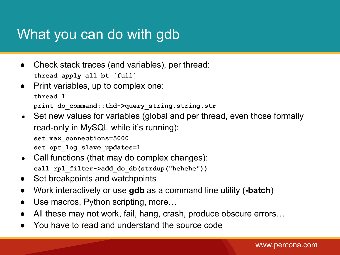### What you can do with gdb

- Check stack traces (and variables), per thread: **thread apply all bt** [**full**]
- Print variables, up to complex one: **thread 1 print do\_command::thd->query\_string.string.str**

```
• Set new values for variables (global and per thread, even those formally
```
read-only in MySQL while it's running):

**set max\_connections=5000**

set opt log slave updates=1

- Call functions (that may do complex changes): **call rpl\_filter->add\_do\_db(strdup("hehehe"))**
- Set breakpoints and watchpoints
- Work interactively or use **gdb** as a command line utility (**-batch**)
- Use macros, Python scripting, more...
- All these may not work, fail, hang, crash, produce obscure errors...
- You have to read and understand the source code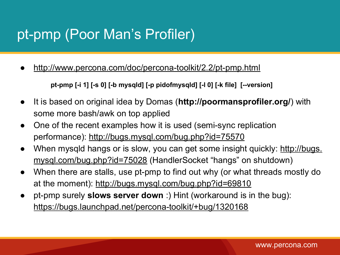### pt-pmp (Poor Man's Profiler)

<http://www.percona.com/doc/percona-toolkit/2.2/pt-pmp.html>

**pt-pmp [-i 1] [-s 0] [-b mysqld] [-p pidofmysqld] [-l 0] [-k file] [--version]**

- It is based on original idea by Domas (**http://poormansprofiler.org/**) with some more bash/awk on top applied
- One of the recent examples how it is used (semi-sync replication performance):<http://bugs.mysql.com/bug.php?id=75570>
- When mysqld hangs or is slow, you can get some insight quickly: [http://bugs.](http://bugs.mysql.com/bug.php?id=75028) [mysql.com/bug.php?id=75028](http://bugs.mysql.com/bug.php?id=75028) (HandlerSocket "hangs" on shutdown)
- When there are stalls, use pt-pmp to find out why (or what threads mostly do at the moment):<http://bugs.mysql.com/bug.php?id=69810>
- pt-pmp surely **slows server down** :) Hint (workaround is in the bug): <https://bugs.launchpad.net/percona-toolkit/+bug/1320168>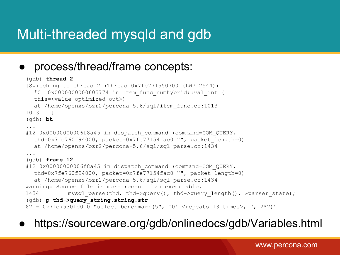### Multi-threaded mysqld and gdb

#### process/thread/frame concepts:

```
(gdb) thread 2
[Switching to thread 2 (Thread 0x7fe771550700 (LWP 2544))]
  #0 0x00000000000605774 in Item func numhybrid::val int (
  this=<value optimized out>)
  at /home/openxs/bzr2/percona-5.6/sql/item_func.cc:1013
1013 }
(gdb) bt
...
#12 0x00000000006f8a45 in dispatch command (command=COM QUERY,
  thd=0x7fe760f94000, packet=0x7fe77154fac0 "", packet_length=0)
  at /home/openxs/bzr2/percona-5.6/sql/sql_parse.cc:1434
...
(gdb) frame 12
#12 0x00000000006f8a45 in dispatch command (command=COM QUERY,
  thd=0x7fe760f94000, packet=0x7fe77154fac0 "", packet_length=0)
  at /home/openxs/bzr2/percona-5.6/sql/sql_parse.cc:1434
warning: Source file is more recent than executable.
1434 mysql parse(thd, thd->query(), thd->query length(), &parser state);
(gdb) p thd->query_string.string.str
$2 = 0x7fe75301d010 "select benchmark(5", '0' <repeats 13 times>, ", 2*2)"
```
● https://sourceware.org/gdb/onlinedocs/gdb/Variables.html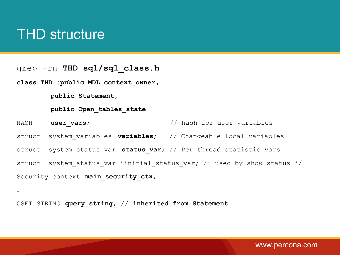### THD structure

grep -rn **THD sql/sql\_class.h**

**class THD :public MDL\_context\_owner,**

 **public Statement,**

 **public Open\_tables\_state**

HASH **user vars**;  $\frac{1}{2}$  hash for user variables

struct system\_variables **variables**; // Changeable local variables

struct system status var **status var**; // Per thread statistic vars

struct system status var \*initial status var; /\* used by show status \*/

Security context main security ctx;

…

CSET STRING **query string;** // inherited from Statement...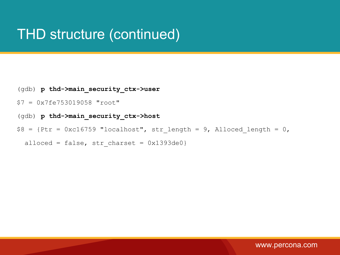### THD structure (continued)

- (gdb) **p thd->main\_security\_ctx->user**
- \$7 = 0x7fe753019058 "root"
- (gdb) **p thd->main\_security\_ctx->host**
- $$8 = {Ptr = 0xc16759$  "localhost", str\_length = 9, Alloced\_length = 0,

alloced = false, str charset =  $0x1393de0$ }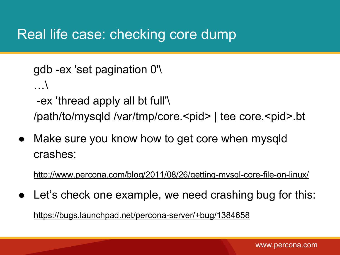### Real life case: checking core dump

```
gdb -ex 'set pagination 0'\
…\
 -ex 'thread apply all bt full'\ 
/path/to/mysqld /var/tmp/core.<pid> | tee core.<pid>.bt
```
● Make sure you know how to get core when mysqld crashes:

<http://www.percona.com/blog/2011/08/26/getting-mysql-core-file-on-linux/>

Let's check one example, we need crashing bug for this: <https://bugs.launchpad.net/percona-server/+bug/1384658>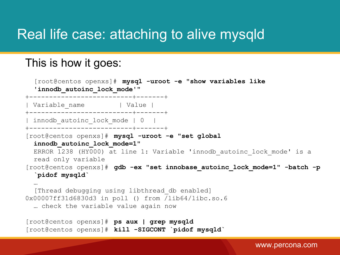### Real life case: attaching to alive mysqld

#### This is how it goes:

```
[root@centos openxs]# mysql -uroot -e "show variables like 
  'innodb_autoinc_lock_mode'"
   +--------------------------+-------+
| Variable name | Value |
+--------------------------+-------+
 | innodb_autoinc_lock_mode | 0 |
+--------------------------+-------+
[root@centos openxs]# mysql -uroot -e "set global 
  innodb_autoinc_lock_mode=1"
  ERROR 1238 (HY000) at line 1: Variable 'innodb autoinc lock mode' is a
  read only variable
[root@centos openxs]# gdb -ex "set innobase autoinc lock mode=1" -batch -p
  `pidof mysqld`
  …
  [Thread debugging using libthread_db enabled]
0x00007ff31d6830d3 in poll () from /lib64/libc.so.6
  … check the variable value again now
[root@centos openxs]# ps aux | grep mysqld
[root@centos openxs]# kill -SIGCONT `pidof mysqld`
```